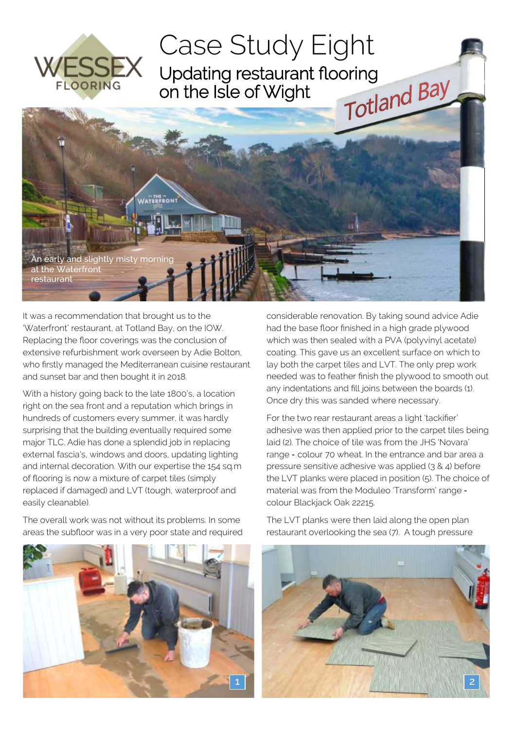

It was a recommendation that brought us to the 'Waterfront' restaurant, at Totland Bay, on the IOW. Replacing the floor coverings was the conclusion of extensive refurbishment work overseen by Adie Bolton, who firstly managed the Mediterranean cuisine restaurant and sunset bar and then bought it in 2018.

With a history going back to the late 1800's, a location right on the sea front and a reputation which brings in hundreds of customers every summer, it was hardly surprising that the building eventually required some major TLC. Adie has done a splendid job in replacing external fascia's, windows and doors, updating lighting and internal decoration. With our expertise the 154 sq.m of flooring is now a mixture of carpet tiles (simply replaced if damaged) and LVT (tough, waterproof and easily cleanable).

The overall work was not without its problems. In some areas the subfloor was in a very poor state and required considerable renovation. By taking sound advice Adie had the base floor finished in a high grade plywood which was then sealed with a PVA (polyvinyl acetate) coating. This gave us an excellent surface on which to lay both the carpet tiles and LVT. The only prep work needed was to feather finish the plywood to smooth out any indentations and fill joins between the boards (1). Once dry this was sanded where necessary.

For the two rear restaurant areas a light 'tackifier' adhesive was then applied prior to the carpet tiles being laid (2). The choice of tile was from the JHS 'Novara' range - colour 70 wheat. In the entrance and bar area a pressure sensitive adhesive was applied (3 & 4) before the LVT planks were placed in position (5). The choice of material was from the Moduleo 'Transform' range colour Blackjack Oak 22215.



The LVT planks were then laid along the open plan restaurant overlooking the sea (7). A tough pressure